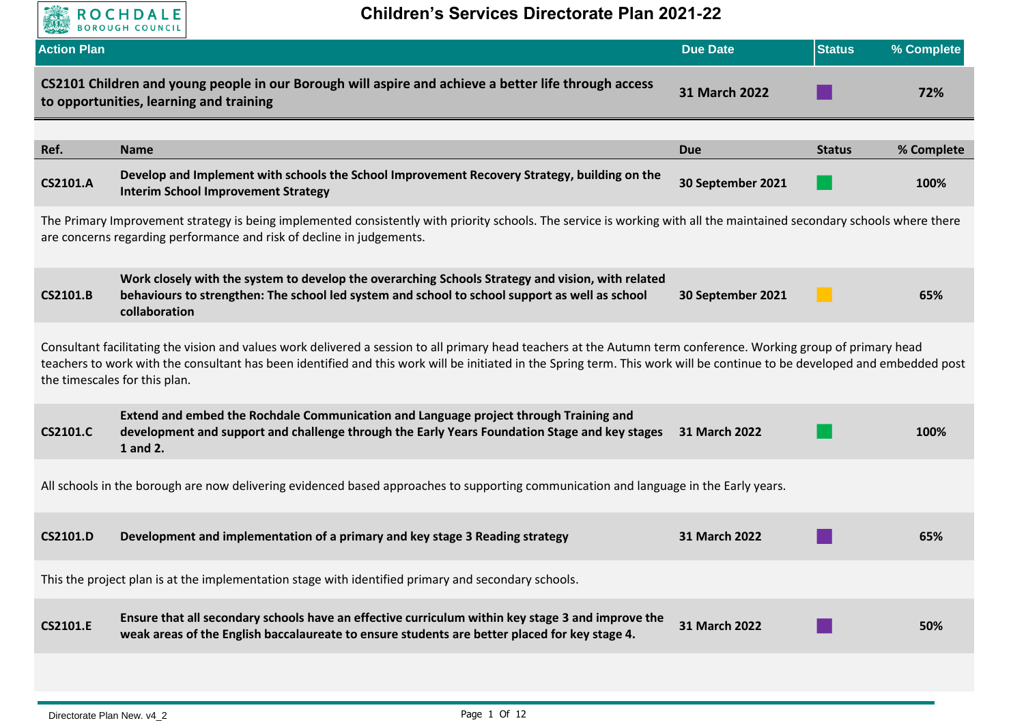

| <b>Action Plan</b> |                                                                                                                                                                                                                                                                                                                                                                                | <b>Due Date</b>   | <b>Status</b> | % Complete |
|--------------------|--------------------------------------------------------------------------------------------------------------------------------------------------------------------------------------------------------------------------------------------------------------------------------------------------------------------------------------------------------------------------------|-------------------|---------------|------------|
|                    | CS2101 Children and young people in our Borough will aspire and achieve a better life through access<br>to opportunities, learning and training                                                                                                                                                                                                                                | 31 March 2022     |               | 72%        |
|                    |                                                                                                                                                                                                                                                                                                                                                                                |                   |               |            |
| Ref.               | <b>Name</b>                                                                                                                                                                                                                                                                                                                                                                    | <b>Due</b>        | <b>Status</b> | % Complete |
| <b>CS2101.A</b>    | Develop and Implement with schools the School Improvement Recovery Strategy, building on the<br><b>Interim School Improvement Strategy</b>                                                                                                                                                                                                                                     | 30 September 2021 |               | 100%       |
|                    | The Primary Improvement strategy is being implemented consistently with priority schools. The service is working with all the maintained secondary schools where there<br>are concerns regarding performance and risk of decline in judgements.                                                                                                                                |                   |               |            |
| <b>CS2101.B</b>    | Work closely with the system to develop the overarching Schools Strategy and vision, with related<br>behaviours to strengthen: The school led system and school to school support as well as school<br>collaboration                                                                                                                                                           | 30 September 2021 |               | 65%        |
|                    | Consultant facilitating the vision and values work delivered a session to all primary head teachers at the Autumn term conference. Working group of primary head<br>teachers to work with the consultant has been identified and this work will be initiated in the Spring term. This work will be continue to be developed and embedded post<br>the timescales for this plan. |                   |               |            |
| <b>CS2101.C</b>    | Extend and embed the Rochdale Communication and Language project through Training and<br>development and support and challenge through the Early Years Foundation Stage and key stages<br>1 and 2.                                                                                                                                                                             | 31 March 2022     |               | 100%       |
|                    | All schools in the borough are now delivering evidenced based approaches to supporting communication and language in the Early years.                                                                                                                                                                                                                                          |                   |               |            |
| <b>CS2101.D</b>    | Development and implementation of a primary and key stage 3 Reading strategy                                                                                                                                                                                                                                                                                                   | 31 March 2022     |               | 65%        |
|                    | This the project plan is at the implementation stage with identified primary and secondary schools.                                                                                                                                                                                                                                                                            |                   |               |            |
| <b>CS2101.E</b>    | Ensure that all secondary schools have an effective curriculum within key stage 3 and improve the<br>weak areas of the English baccalaureate to ensure students are better placed for key stage 4.                                                                                                                                                                             | 31 March 2022     |               | 50%        |
|                    |                                                                                                                                                                                                                                                                                                                                                                                |                   |               |            |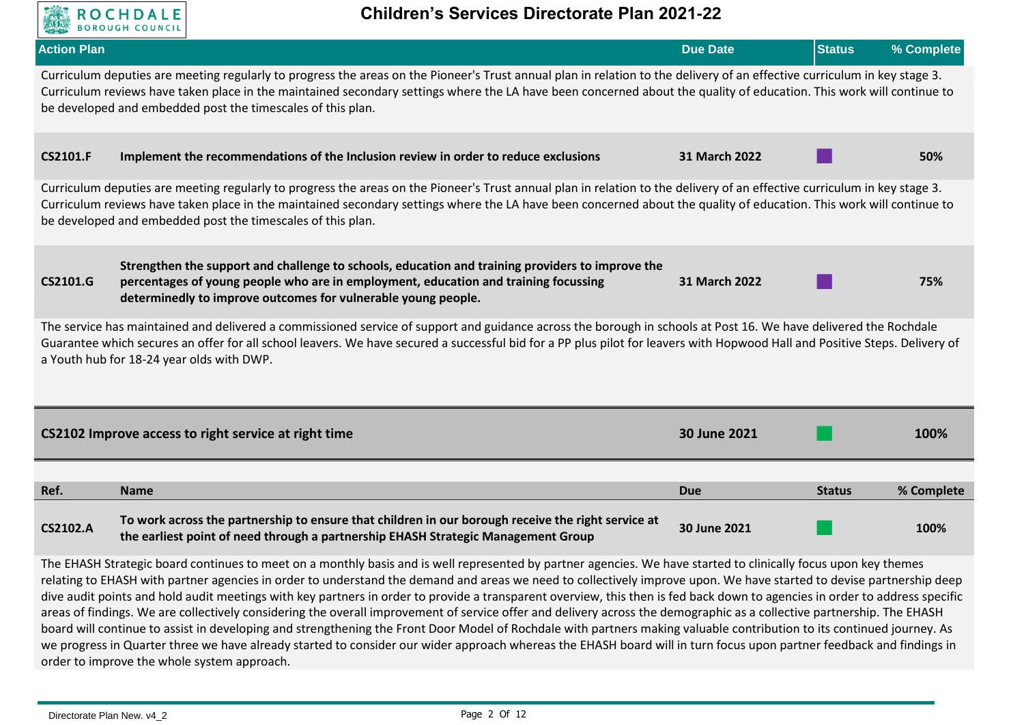

| <b>Action Plan</b> |                                                                                                                                                                                                                                                                                                                                                                                                                  | <b>Due Date</b> | <b>Status</b> | % Complete |
|--------------------|------------------------------------------------------------------------------------------------------------------------------------------------------------------------------------------------------------------------------------------------------------------------------------------------------------------------------------------------------------------------------------------------------------------|-----------------|---------------|------------|
|                    | Curriculum deputies are meeting regularly to progress the areas on the Pioneer's Trust annual plan in relation to the delivery of an effective curriculum in key stage 3.<br>Curriculum reviews have taken place in the maintained secondary settings where the LA have been concerned about the quality of education. This work will continue to<br>be developed and embedded post the timescales of this plan. |                 |               |            |
| <b>CS2101.F</b>    | Implement the recommendations of the Inclusion review in order to reduce exclusions                                                                                                                                                                                                                                                                                                                              | 31 March 2022   |               | 50%        |
|                    | Curriculum deputies are meeting regularly to progress the areas on the Pioneer's Trust annual plan in relation to the delivery of an effective curriculum in key stage 3.<br>Curriculum reviews have taken place in the maintained secondary settings where the LA have been concerned about the quality of education. This work will continue to<br>be developed and embedded post the timescales of this plan. |                 |               |            |
| <b>CS2101.G</b>    | Strengthen the support and challenge to schools, education and training providers to improve the<br>percentages of young people who are in employment, education and training focussing<br>determinedly to improve outcomes for vulnerable young people.                                                                                                                                                         | 31 March 2022   |               | 75%        |
|                    | The service has maintained and delivered a commissioned service of support and guidance across the borough in schools at Post 16. We have delivered the Rochdale<br>Guarantee which secures an offer for all school leavers. We have secured a successful bid for a PP plus pilot for leavers with Hopwood Hall and Positive Steps. Delivery of<br>a Youth hub for 18-24 year olds with DWP.                     |                 |               |            |
|                    | CS2102 Improve access to right service at right time                                                                                                                                                                                                                                                                                                                                                             | 30 June 2021    |               | 100%       |
|                    |                                                                                                                                                                                                                                                                                                                                                                                                                  |                 |               |            |
| Ref.               | <b>Name</b>                                                                                                                                                                                                                                                                                                                                                                                                      | <b>Due</b>      | <b>Status</b> | % Complete |
| <b>CS2102.A</b>    | To work across the partnership to ensure that children in our borough receive the right service at<br>the earliest point of need through a partnership EHASH Strategic Management Group                                                                                                                                                                                                                          | 30 June 2021    |               | 100%       |

The EHASH Strategic board continues to meet on a monthly basis and is well represented by partner agencies. We have started to clinically focus upon key themes relating to EHASH with partner agencies in order to understand the demand and areas we need to collectively improve upon. We have started to devise partnership deep dive audit points and hold audit meetings with key partners in order to provide a transparent overview, this then is fed back down to agencies in order to address specific areas of findings. We are collectively considering the overall improvement of service offer and delivery across the demographic as a collective partnership. The EHASH board will continue to assist in developing and strengthening the Front Door Model of Rochdale with partners making valuable contribution to its continued journey. As we progress in Quarter three we have already started to consider our wider approach whereas the EHASH board will in turn focus upon partner feedback and findings in order to improve the whole system approach.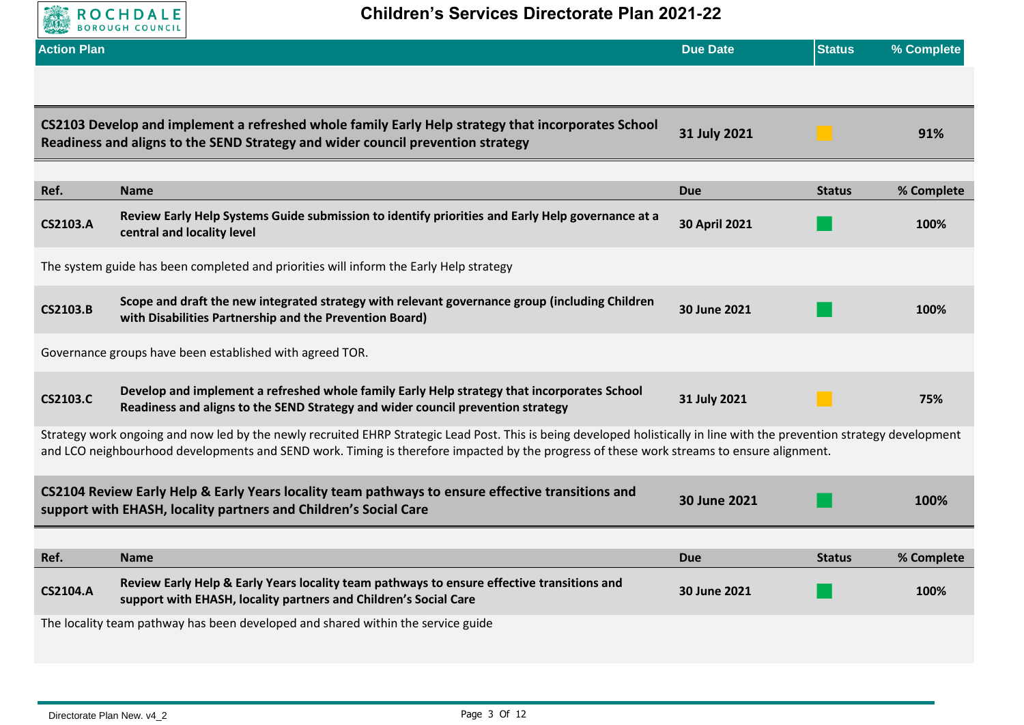

| <b>Action Plan</b> |                                                                                                                                                                                                                                                                                                                       | <b>Due Date</b> | <b>Status</b> | % Complete |
|--------------------|-----------------------------------------------------------------------------------------------------------------------------------------------------------------------------------------------------------------------------------------------------------------------------------------------------------------------|-----------------|---------------|------------|
|                    |                                                                                                                                                                                                                                                                                                                       |                 |               |            |
|                    | CS2103 Develop and implement a refreshed whole family Early Help strategy that incorporates School<br>Readiness and aligns to the SEND Strategy and wider council prevention strategy                                                                                                                                 | 31 July 2021    |               | 91%        |
| Ref.               | <b>Name</b>                                                                                                                                                                                                                                                                                                           | <b>Due</b>      | <b>Status</b> | % Complete |
| <b>CS2103.A</b>    | Review Early Help Systems Guide submission to identify priorities and Early Help governance at a<br>central and locality level                                                                                                                                                                                        | 30 April 2021   |               | 100%       |
|                    | The system guide has been completed and priorities will inform the Early Help strategy                                                                                                                                                                                                                                |                 |               |            |
| <b>CS2103.B</b>    | Scope and draft the new integrated strategy with relevant governance group (including Children<br>with Disabilities Partnership and the Prevention Board)                                                                                                                                                             | 30 June 2021    |               | 100%       |
|                    | Governance groups have been established with agreed TOR.                                                                                                                                                                                                                                                              |                 |               |            |
| <b>CS2103.C</b>    | Develop and implement a refreshed whole family Early Help strategy that incorporates School<br>Readiness and aligns to the SEND Strategy and wider council prevention strategy                                                                                                                                        | 31 July 2021    |               | 75%        |
|                    | Strategy work ongoing and now led by the newly recruited EHRP Strategic Lead Post. This is being developed holistically in line with the prevention strategy development<br>and LCO neighbourhood developments and SEND work. Timing is therefore impacted by the progress of these work streams to ensure alignment. |                 |               |            |
|                    | CS2104 Review Early Help & Early Years locality team pathways to ensure effective transitions and<br>support with EHASH, locality partners and Children's Social Care                                                                                                                                                 | 30 June 2021    |               | 100%       |
| Ref.               | <b>Name</b>                                                                                                                                                                                                                                                                                                           | <b>Due</b>      | <b>Status</b> | % Complete |
| <b>CS2104.A</b>    | Review Early Help & Early Years locality team pathways to ensure effective transitions and<br>support with EHASH, locality partners and Children's Social Care                                                                                                                                                        | 30 June 2021    |               | 100%       |
|                    | The locality team pathway has been developed and shared within the service guide                                                                                                                                                                                                                                      |                 |               |            |
|                    |                                                                                                                                                                                                                                                                                                                       |                 |               |            |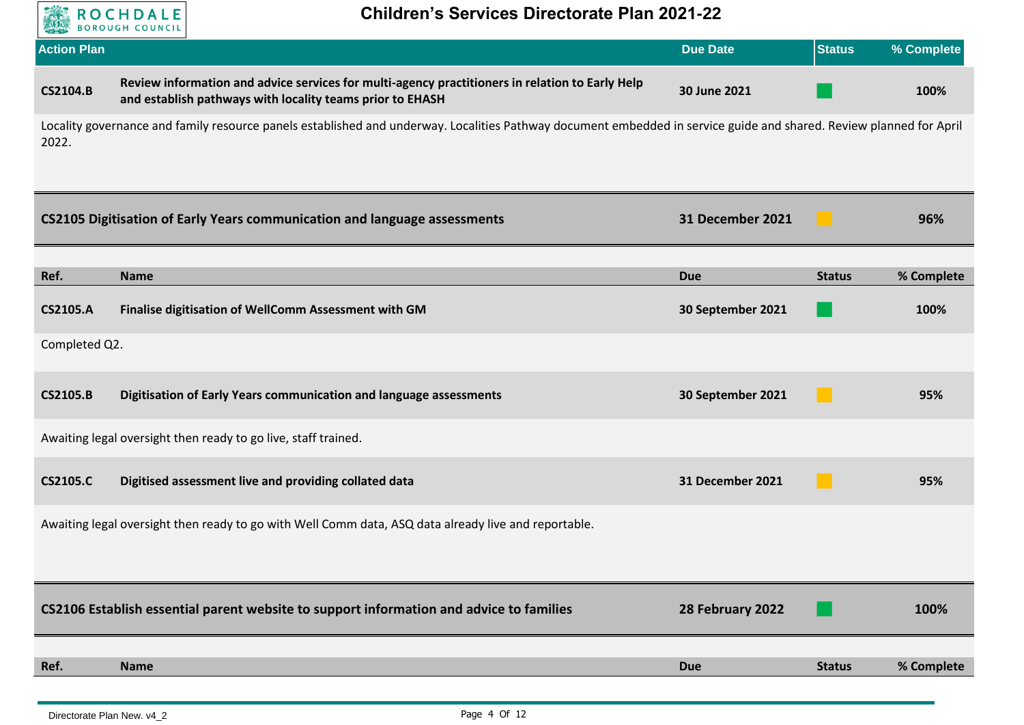

| <b>Action Plan</b> |                                                                                                                                                                     | <b>Due Date</b>   | <b>Status</b> | % Complete |
|--------------------|---------------------------------------------------------------------------------------------------------------------------------------------------------------------|-------------------|---------------|------------|
| <b>CS2104.B</b>    | Review information and advice services for multi-agency practitioners in relation to Early Help<br>and establish pathways with locality teams prior to EHASH        | 30 June 2021      |               | 100%       |
| 2022.              | Locality governance and family resource panels established and underway. Localities Pathway document embedded in service guide and shared. Review planned for April |                   |               |            |
|                    | <b>CS2105 Digitisation of Early Years communication and language assessments</b>                                                                                    | 31 December 2021  |               | 96%        |
| Ref.               | <b>Name</b>                                                                                                                                                         | <b>Due</b>        | <b>Status</b> | % Complete |
| <b>CS2105.A</b>    | Finalise digitisation of WellComm Assessment with GM                                                                                                                | 30 September 2021 |               | 100%       |
| Completed Q2.      |                                                                                                                                                                     |                   |               |            |
| <b>CS2105.B</b>    | Digitisation of Early Years communication and language assessments                                                                                                  | 30 September 2021 |               | 95%        |
|                    | Awaiting legal oversight then ready to go live, staff trained.                                                                                                      |                   |               |            |
| <b>CS2105.C</b>    | Digitised assessment live and providing collated data                                                                                                               | 31 December 2021  |               | 95%        |
|                    | Awaiting legal oversight then ready to go with Well Comm data, ASQ data already live and reportable.                                                                |                   |               |            |
|                    | CS2106 Establish essential parent website to support information and advice to families                                                                             | 28 February 2022  |               | 100%       |
| Ref.               | <b>Name</b>                                                                                                                                                         | <b>Due</b>        | <b>Status</b> | % Complete |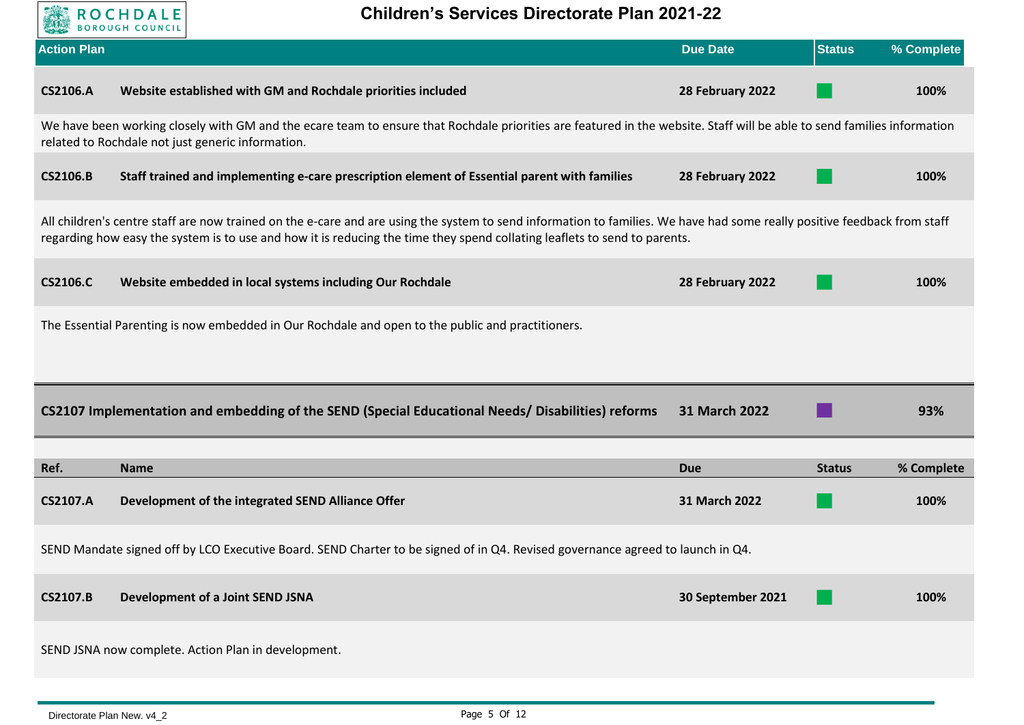

| <b>Action Plan</b> |                                                                                                                                                                                                                                                                                                       | <b>Due Date</b>   | <b>Status</b> | % Complete |
|--------------------|-------------------------------------------------------------------------------------------------------------------------------------------------------------------------------------------------------------------------------------------------------------------------------------------------------|-------------------|---------------|------------|
| <b>CS2106.A</b>    | Website established with GM and Rochdale priorities included                                                                                                                                                                                                                                          | 28 February 2022  |               | 100%       |
|                    | We have been working closely with GM and the ecare team to ensure that Rochdale priorities are featured in the website. Staff will be able to send families information<br>related to Rochdale not just generic information.                                                                          |                   |               |            |
| <b>CS2106.B</b>    | Staff trained and implementing e-care prescription element of Essential parent with families                                                                                                                                                                                                          | 28 February 2022  |               | 100%       |
|                    | All children's centre staff are now trained on the e-care and are using the system to send information to families. We have had some really positive feedback from staff<br>regarding how easy the system is to use and how it is reducing the time they spend collating leaflets to send to parents. |                   |               |            |
| <b>CS2106.C</b>    | Website embedded in local systems including Our Rochdale                                                                                                                                                                                                                                              | 28 February 2022  |               | 100%       |
|                    | The Essential Parenting is now embedded in Our Rochdale and open to the public and practitioners.                                                                                                                                                                                                     |                   |               |            |
|                    |                                                                                                                                                                                                                                                                                                       |                   |               |            |
|                    | CS2107 Implementation and embedding of the SEND (Special Educational Needs/Disabilities) reforms                                                                                                                                                                                                      | 31 March 2022     |               | 93%        |
| Ref.               | <b>Name</b>                                                                                                                                                                                                                                                                                           | <b>Due</b>        | <b>Status</b> | % Complete |
| <b>CS2107.A</b>    | Development of the integrated SEND Alliance Offer                                                                                                                                                                                                                                                     | 31 March 2022     |               | 100%       |
|                    | SEND Mandate signed off by LCO Executive Board. SEND Charter to be signed of in Q4. Revised governance agreed to launch in Q4.                                                                                                                                                                        |                   |               |            |
| <b>CS2107.B</b>    | Development of a Joint SEND JSNA                                                                                                                                                                                                                                                                      | 30 September 2021 |               | 100%       |
|                    | SEND JSNA now complete. Action Plan in development.                                                                                                                                                                                                                                                   |                   |               |            |
|                    |                                                                                                                                                                                                                                                                                                       |                   |               |            |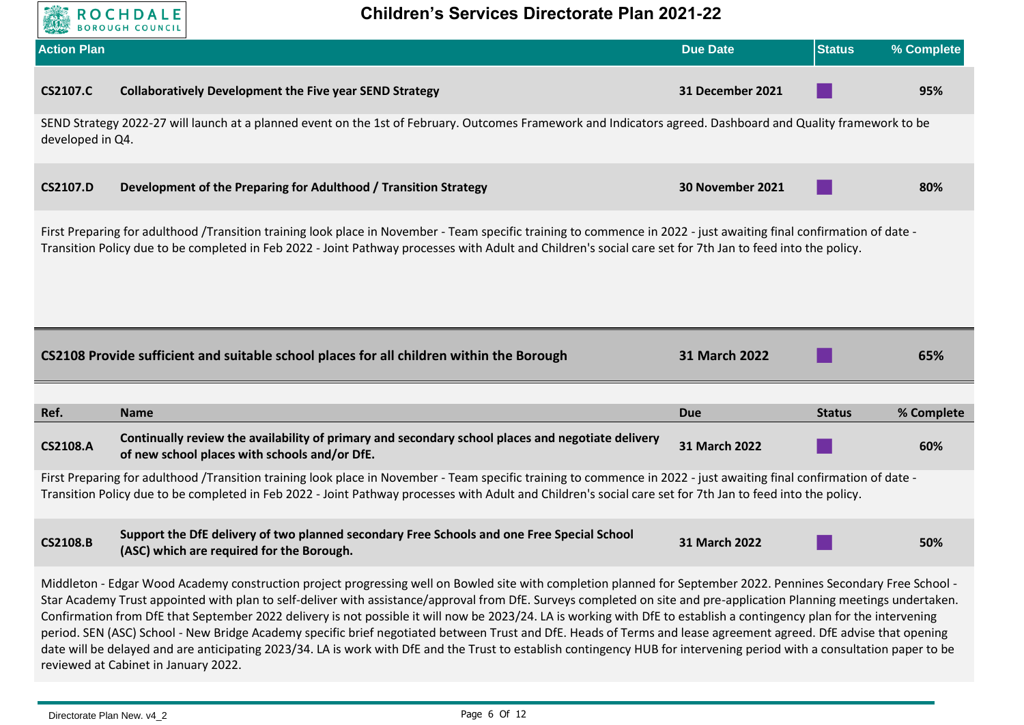

| <b>Action Plan</b>                                                                                                                                                                                                                                                                                                                                                                                                                                                                                                                                                                                                                                                                                                                                                                                                                                                  |                                                                                                                                                                                                                                                                                                                                   | <b>Due Date</b>  | <b>Status</b> | % Complete |  |
|---------------------------------------------------------------------------------------------------------------------------------------------------------------------------------------------------------------------------------------------------------------------------------------------------------------------------------------------------------------------------------------------------------------------------------------------------------------------------------------------------------------------------------------------------------------------------------------------------------------------------------------------------------------------------------------------------------------------------------------------------------------------------------------------------------------------------------------------------------------------|-----------------------------------------------------------------------------------------------------------------------------------------------------------------------------------------------------------------------------------------------------------------------------------------------------------------------------------|------------------|---------------|------------|--|
| <b>CS2107.C</b>                                                                                                                                                                                                                                                                                                                                                                                                                                                                                                                                                                                                                                                                                                                                                                                                                                                     | <b>Collaboratively Development the Five year SEND Strategy</b>                                                                                                                                                                                                                                                                    | 31 December 2021 |               | 95%        |  |
| developed in Q4.                                                                                                                                                                                                                                                                                                                                                                                                                                                                                                                                                                                                                                                                                                                                                                                                                                                    | SEND Strategy 2022-27 will launch at a planned event on the 1st of February. Outcomes Framework and Indicators agreed. Dashboard and Quality framework to be                                                                                                                                                                      |                  |               |            |  |
| <b>CS2107.D</b>                                                                                                                                                                                                                                                                                                                                                                                                                                                                                                                                                                                                                                                                                                                                                                                                                                                     | Development of the Preparing for Adulthood / Transition Strategy                                                                                                                                                                                                                                                                  | 30 November 2021 |               | 80%        |  |
|                                                                                                                                                                                                                                                                                                                                                                                                                                                                                                                                                                                                                                                                                                                                                                                                                                                                     | First Preparing for adulthood /Transition training look place in November - Team specific training to commence in 2022 - just awaiting final confirmation of date -<br>Transition Policy due to be completed in Feb 2022 - Joint Pathway processes with Adult and Children's social care set for 7th Jan to feed into the policy. |                  |               |            |  |
|                                                                                                                                                                                                                                                                                                                                                                                                                                                                                                                                                                                                                                                                                                                                                                                                                                                                     | CS2108 Provide sufficient and suitable school places for all children within the Borough                                                                                                                                                                                                                                          | 31 March 2022    |               | 65%        |  |
| Ref.                                                                                                                                                                                                                                                                                                                                                                                                                                                                                                                                                                                                                                                                                                                                                                                                                                                                | <b>Name</b>                                                                                                                                                                                                                                                                                                                       | <b>Due</b>       | <b>Status</b> | % Complete |  |
| <b>CS2108.A</b>                                                                                                                                                                                                                                                                                                                                                                                                                                                                                                                                                                                                                                                                                                                                                                                                                                                     | Continually review the availability of primary and secondary school places and negotiate delivery<br>of new school places with schools and/or DfE.                                                                                                                                                                                | 31 March 2022    |               | 60%        |  |
|                                                                                                                                                                                                                                                                                                                                                                                                                                                                                                                                                                                                                                                                                                                                                                                                                                                                     | First Preparing for adulthood /Transition training look place in November - Team specific training to commence in 2022 - just awaiting final confirmation of date -<br>Transition Policy due to be completed in Feb 2022 - Joint Pathway processes with Adult and Children's social care set for 7th Jan to feed into the policy. |                  |               |            |  |
| <b>CS2108.B</b>                                                                                                                                                                                                                                                                                                                                                                                                                                                                                                                                                                                                                                                                                                                                                                                                                                                     | Support the DfE delivery of two planned secondary Free Schools and one Free Special School<br>(ASC) which are required for the Borough.                                                                                                                                                                                           | 31 March 2022    |               | 50%        |  |
| Middleton - Edgar Wood Academy construction project progressing well on Bowled site with completion planned for September 2022. Pennines Secondary Free School -<br>Star Academy Trust appointed with plan to self-deliver with assistance/approval from DfE. Surveys completed on site and pre-application Planning meetings undertaken.<br>Confirmation from DfE that September 2022 delivery is not possible it will now be 2023/24. LA is working with DfE to establish a contingency plan for the intervening<br>period. SEN (ASC) School - New Bridge Academy specific brief negotiated between Trust and DfE. Heads of Terms and lease agreement agreed. DfE advise that opening<br>date will be delayed and are anticipating 2023/34. LA is work with DfE and the Trust to establish contingency HUB for intervening period with a consultation paper to be |                                                                                                                                                                                                                                                                                                                                   |                  |               |            |  |

reviewed at Cabinet in January 2022.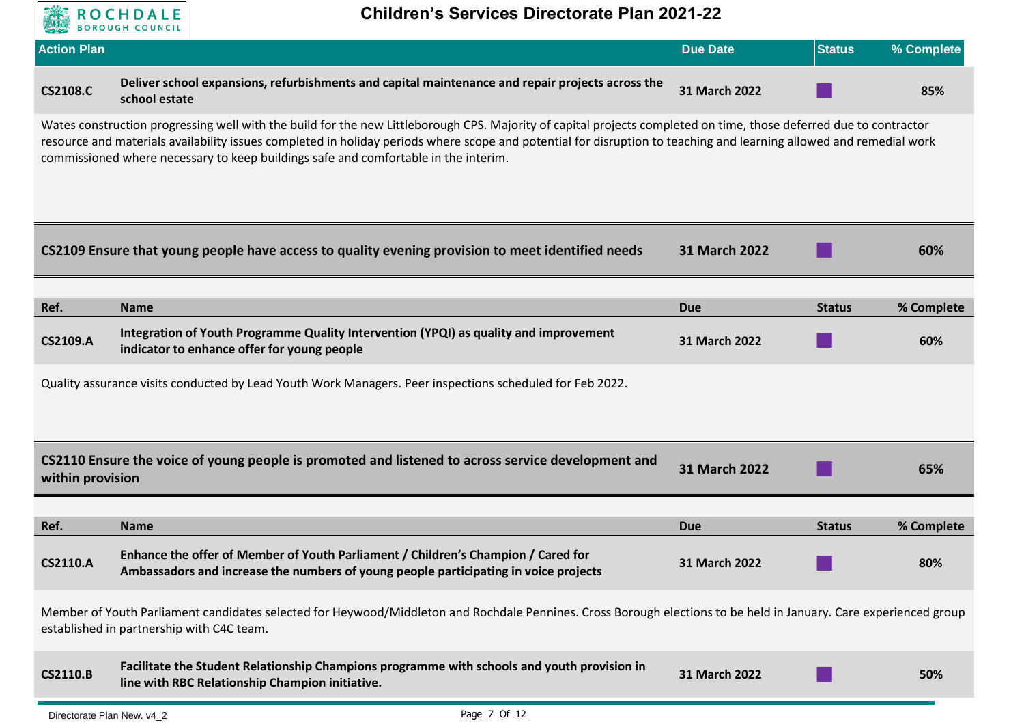

| <b>Action Plan</b> |                                                                                                                                                                                                                                                                                                                                                                                                                                  | <b>Due Date</b> | <b>Status</b> | % Complete |
|--------------------|----------------------------------------------------------------------------------------------------------------------------------------------------------------------------------------------------------------------------------------------------------------------------------------------------------------------------------------------------------------------------------------------------------------------------------|-----------------|---------------|------------|
| <b>CS2108.C</b>    | Deliver school expansions, refurbishments and capital maintenance and repair projects across the<br>school estate                                                                                                                                                                                                                                                                                                                | 31 March 2022   |               | 85%        |
|                    | Wates construction progressing well with the build for the new Littleborough CPS. Majority of capital projects completed on time, those deferred due to contractor<br>resource and materials availability issues completed in holiday periods where scope and potential for disruption to teaching and learning allowed and remedial work<br>commissioned where necessary to keep buildings safe and comfortable in the interim. |                 |               |            |
|                    | CS2109 Ensure that young people have access to quality evening provision to meet identified needs                                                                                                                                                                                                                                                                                                                                | 31 March 2022   |               | 60%        |
| Ref.               | <b>Name</b>                                                                                                                                                                                                                                                                                                                                                                                                                      | <b>Due</b>      | <b>Status</b> | % Complete |
| <b>CS2109.A</b>    | Integration of Youth Programme Quality Intervention (YPQI) as quality and improvement<br>indicator to enhance offer for young people                                                                                                                                                                                                                                                                                             | 31 March 2022   |               | 60%        |
|                    | Quality assurance visits conducted by Lead Youth Work Managers. Peer inspections scheduled for Feb 2022.                                                                                                                                                                                                                                                                                                                         |                 |               |            |
| within provision   | CS2110 Ensure the voice of young people is promoted and listened to across service development and                                                                                                                                                                                                                                                                                                                               | 31 March 2022   |               | 65%        |
| Ref.               | <b>Name</b>                                                                                                                                                                                                                                                                                                                                                                                                                      | <b>Due</b>      | <b>Status</b> | % Complete |
| <b>CS2110.A</b>    | Enhance the offer of Member of Youth Parliament / Children's Champion / Cared for<br>Ambassadors and increase the numbers of young people participating in voice projects                                                                                                                                                                                                                                                        | 31 March 2022   |               | 80%        |
|                    | Member of Youth Parliament candidates selected for Heywood/Middleton and Rochdale Pennines. Cross Borough elections to be held in January. Care experienced group<br>established in partnership with C4C team.                                                                                                                                                                                                                   |                 |               |            |
| <b>CS2110.B</b>    | Facilitate the Student Relationship Champions programme with schools and youth provision in<br>line with RBC Relationship Champion initiative.                                                                                                                                                                                                                                                                                   | 31 March 2022   |               | 50%        |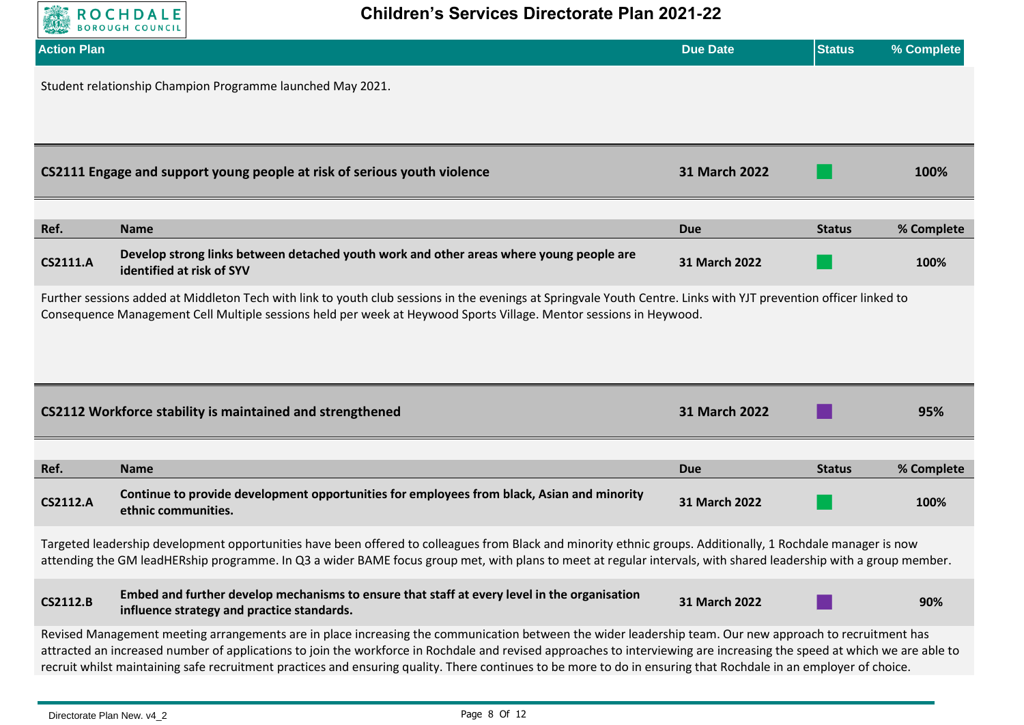

| <b>Action Plan</b>                                                                                                                                                                                                                                                                                                               |                                                                                                                                                                                                                                                                                                                                                                                                                                                                                                         | <b>Due Date</b> | <b>Status</b> | % Complete |  |  |
|----------------------------------------------------------------------------------------------------------------------------------------------------------------------------------------------------------------------------------------------------------------------------------------------------------------------------------|---------------------------------------------------------------------------------------------------------------------------------------------------------------------------------------------------------------------------------------------------------------------------------------------------------------------------------------------------------------------------------------------------------------------------------------------------------------------------------------------------------|-----------------|---------------|------------|--|--|
| Student relationship Champion Programme launched May 2021.                                                                                                                                                                                                                                                                       |                                                                                                                                                                                                                                                                                                                                                                                                                                                                                                         |                 |               |            |  |  |
|                                                                                                                                                                                                                                                                                                                                  | CS2111 Engage and support young people at risk of serious youth violence                                                                                                                                                                                                                                                                                                                                                                                                                                | 31 March 2022   |               | 100%       |  |  |
| Ref.                                                                                                                                                                                                                                                                                                                             | <b>Name</b>                                                                                                                                                                                                                                                                                                                                                                                                                                                                                             | <b>Due</b>      | <b>Status</b> | % Complete |  |  |
| <b>CS2111.A</b>                                                                                                                                                                                                                                                                                                                  | Develop strong links between detached youth work and other areas where young people are<br>identified at risk of SYV                                                                                                                                                                                                                                                                                                                                                                                    | 31 March 2022   |               | 100%       |  |  |
|                                                                                                                                                                                                                                                                                                                                  | Further sessions added at Middleton Tech with link to youth club sessions in the evenings at Springvale Youth Centre. Links with YJT prevention officer linked to<br>Consequence Management Cell Multiple sessions held per week at Heywood Sports Village. Mentor sessions in Heywood.                                                                                                                                                                                                                 |                 |               |            |  |  |
|                                                                                                                                                                                                                                                                                                                                  | CS2112 Workforce stability is maintained and strengthened                                                                                                                                                                                                                                                                                                                                                                                                                                               | 31 March 2022   |               | 95%        |  |  |
| Ref.                                                                                                                                                                                                                                                                                                                             | <b>Name</b>                                                                                                                                                                                                                                                                                                                                                                                                                                                                                             | <b>Due</b>      | <b>Status</b> | % Complete |  |  |
| <b>CS2112.A</b>                                                                                                                                                                                                                                                                                                                  | Continue to provide development opportunities for employees from black, Asian and minority<br>ethnic communities.                                                                                                                                                                                                                                                                                                                                                                                       | 31 March 2022   |               | 100%       |  |  |
| Targeted leadership development opportunities have been offered to colleagues from Black and minority ethnic groups. Additionally, 1 Rochdale manager is now<br>attending the GM leadHERship programme. In Q3 a wider BAME focus group met, with plans to meet at regular intervals, with shared leadership with a group member. |                                                                                                                                                                                                                                                                                                                                                                                                                                                                                                         |                 |               |            |  |  |
| <b>CS2112.B</b>                                                                                                                                                                                                                                                                                                                  | Embed and further develop mechanisms to ensure that staff at every level in the organisation<br>influence strategy and practice standards.                                                                                                                                                                                                                                                                                                                                                              | 31 March 2022   |               | 90%        |  |  |
|                                                                                                                                                                                                                                                                                                                                  | Revised Management meeting arrangements are in place increasing the communication between the wider leadership team. Our new approach to recruitment has<br>attracted an increased number of applications to join the workforce in Rochdale and revised approaches to interviewing are increasing the speed at which we are able to<br>recruit whilst maintaining safe recruitment practices and ensuring quality. There continues to be more to do in ensuring that Rochdale in an employer of choice. |                 |               |            |  |  |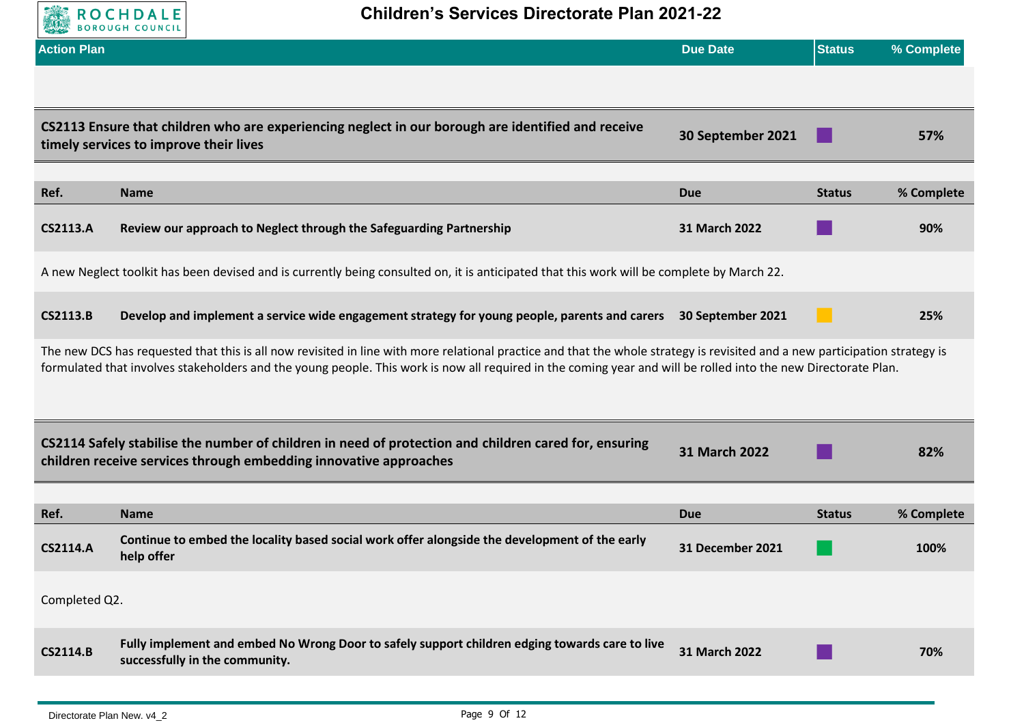

| <b>Action Plan</b> |                                                                                                                                                                                                                                                                                                                                               | <b>Due Date</b>         | <b>Status</b> | % Complete |
|--------------------|-----------------------------------------------------------------------------------------------------------------------------------------------------------------------------------------------------------------------------------------------------------------------------------------------------------------------------------------------|-------------------------|---------------|------------|
|                    |                                                                                                                                                                                                                                                                                                                                               |                         |               |            |
|                    | CS2113 Ensure that children who are experiencing neglect in our borough are identified and receive<br>timely services to improve their lives                                                                                                                                                                                                  | 30 September 2021       |               | 57%        |
| Ref.               | <b>Name</b>                                                                                                                                                                                                                                                                                                                                   | <b>Due</b>              | <b>Status</b> | % Complete |
| <b>CS2113.A</b>    | Review our approach to Neglect through the Safeguarding Partnership                                                                                                                                                                                                                                                                           | 31 March 2022           |               | 90%        |
|                    | A new Neglect toolkit has been devised and is currently being consulted on, it is anticipated that this work will be complete by March 22.                                                                                                                                                                                                    |                         |               |            |
| <b>CS2113.B</b>    | Develop and implement a service wide engagement strategy for young people, parents and carers 30 September 2021                                                                                                                                                                                                                               |                         |               | 25%        |
|                    | The new DCS has requested that this is all now revisited in line with more relational practice and that the whole strategy is revisited and a new participation strategy is<br>formulated that involves stakeholders and the young people. This work is now all required in the coming year and will be rolled into the new Directorate Plan. |                         |               |            |
|                    | CS2114 Safely stabilise the number of children in need of protection and children cared for, ensuring<br>children receive services through embedding innovative approaches                                                                                                                                                                    | 31 March 2022           |               | 82%        |
| Ref.               | <b>Name</b>                                                                                                                                                                                                                                                                                                                                   | <b>Due</b>              | <b>Status</b> | % Complete |
| <b>CS2114.A</b>    | Continue to embed the locality based social work offer alongside the development of the early<br>help offer                                                                                                                                                                                                                                   | <b>31 December 2021</b> |               | 100%       |
| Completed Q2.      |                                                                                                                                                                                                                                                                                                                                               |                         |               |            |
| <b>CS2114.B</b>    | Fully implement and embed No Wrong Door to safely support children edging towards care to live<br>successfully in the community.                                                                                                                                                                                                              | 31 March 2022           |               | 70%        |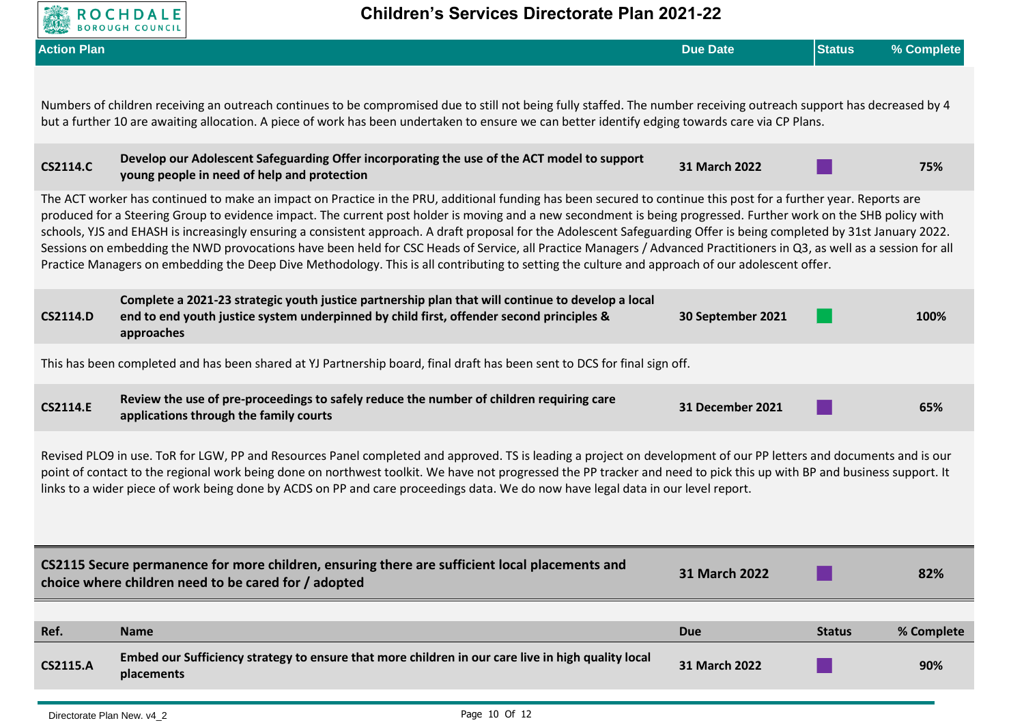

| <b>Action Plan</b>                                                                                                                                                                                                                                                                                                                                                                                                                                                                |                                                                                                                                                                                                                                                                                                                                                                                                                                                                                                                                                                                                                                                                                                                                                                                                                                              | <b>Due Date</b>      | <b>Status</b> | % Complete |
|-----------------------------------------------------------------------------------------------------------------------------------------------------------------------------------------------------------------------------------------------------------------------------------------------------------------------------------------------------------------------------------------------------------------------------------------------------------------------------------|----------------------------------------------------------------------------------------------------------------------------------------------------------------------------------------------------------------------------------------------------------------------------------------------------------------------------------------------------------------------------------------------------------------------------------------------------------------------------------------------------------------------------------------------------------------------------------------------------------------------------------------------------------------------------------------------------------------------------------------------------------------------------------------------------------------------------------------------|----------------------|---------------|------------|
|                                                                                                                                                                                                                                                                                                                                                                                                                                                                                   | Numbers of children receiving an outreach continues to be compromised due to still not being fully staffed. The number receiving outreach support has decreased by 4<br>but a further 10 are awaiting allocation. A piece of work has been undertaken to ensure we can better identify edging towards care via CP Plans.                                                                                                                                                                                                                                                                                                                                                                                                                                                                                                                     |                      |               |            |
| <b>CS2114.C</b>                                                                                                                                                                                                                                                                                                                                                                                                                                                                   | Develop our Adolescent Safeguarding Offer incorporating the use of the ACT model to support<br>young people in need of help and protection                                                                                                                                                                                                                                                                                                                                                                                                                                                                                                                                                                                                                                                                                                   | 31 March 2022        |               | 75%        |
|                                                                                                                                                                                                                                                                                                                                                                                                                                                                                   | The ACT worker has continued to make an impact on Practice in the PRU, additional funding has been secured to continue this post for a further year. Reports are<br>produced for a Steering Group to evidence impact. The current post holder is moving and a new secondment is being progressed. Further work on the SHB policy with<br>schools, YJS and EHASH is increasingly ensuring a consistent approach. A draft proposal for the Adolescent Safeguarding Offer is being completed by 31st January 2022.<br>Sessions on embedding the NWD provocations have been held for CSC Heads of Service, all Practice Managers / Advanced Practitioners in Q3, as well as a session for all<br>Practice Managers on embedding the Deep Dive Methodology. This is all contributing to setting the culture and approach of our adolescent offer. |                      |               |            |
| <b>CS2114.D</b>                                                                                                                                                                                                                                                                                                                                                                                                                                                                   | Complete a 2021-23 strategic youth justice partnership plan that will continue to develop a local<br>end to end youth justice system underpinned by child first, offender second principles &<br>approaches                                                                                                                                                                                                                                                                                                                                                                                                                                                                                                                                                                                                                                  | 30 September 2021    |               | 100%       |
|                                                                                                                                                                                                                                                                                                                                                                                                                                                                                   | This has been completed and has been shared at YJ Partnership board, final draft has been sent to DCS for final sign off.                                                                                                                                                                                                                                                                                                                                                                                                                                                                                                                                                                                                                                                                                                                    |                      |               |            |
| <b>CS2114.E</b>                                                                                                                                                                                                                                                                                                                                                                                                                                                                   | Review the use of pre-proceedings to safely reduce the number of children requiring care<br>applications through the family courts                                                                                                                                                                                                                                                                                                                                                                                                                                                                                                                                                                                                                                                                                                           | 31 December 2021     |               | 65%        |
| Revised PLO9 in use. ToR for LGW, PP and Resources Panel completed and approved. TS is leading a project on development of our PP letters and documents and is our<br>point of contact to the regional work being done on northwest toolkit. We have not progressed the PP tracker and need to pick this up with BP and business support. It<br>links to a wider piece of work being done by ACDS on PP and care proceedings data. We do now have legal data in our level report. |                                                                                                                                                                                                                                                                                                                                                                                                                                                                                                                                                                                                                                                                                                                                                                                                                                              |                      |               |            |
|                                                                                                                                                                                                                                                                                                                                                                                                                                                                                   | CS2115 Secure permanence for more children, ensuring there are sufficient local placements and<br>choice where children need to be cared for / adopted                                                                                                                                                                                                                                                                                                                                                                                                                                                                                                                                                                                                                                                                                       | <b>31 March 2022</b> |               | 82%        |
| Ref.                                                                                                                                                                                                                                                                                                                                                                                                                                                                              | <b>Name</b>                                                                                                                                                                                                                                                                                                                                                                                                                                                                                                                                                                                                                                                                                                                                                                                                                                  | <b>Due</b>           | <b>Status</b> | % Complete |
| <b>CS2115.A</b>                                                                                                                                                                                                                                                                                                                                                                                                                                                                   | Embed our Sufficiency strategy to ensure that more children in our care live in high quality local<br>placements                                                                                                                                                                                                                                                                                                                                                                                                                                                                                                                                                                                                                                                                                                                             | 31 March 2022        |               | 90%        |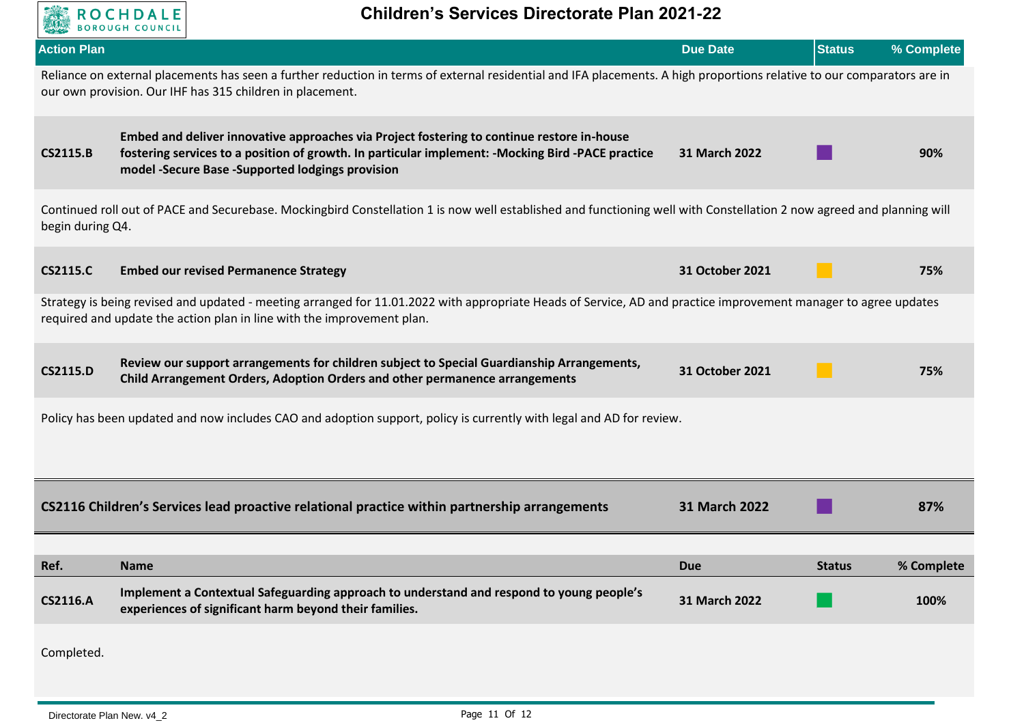

| <b>Action Plan</b> |                                                                                                                                                                                                                                                       | <b>Due Date</b> | <b>Status</b> | % Complete |  |  |
|--------------------|-------------------------------------------------------------------------------------------------------------------------------------------------------------------------------------------------------------------------------------------------------|-----------------|---------------|------------|--|--|
|                    | Reliance on external placements has seen a further reduction in terms of external residential and IFA placements. A high proportions relative to our comparators are in<br>our own provision. Our IHF has 315 children in placement.                  |                 |               |            |  |  |
| <b>CS2115.B</b>    | Embed and deliver innovative approaches via Project fostering to continue restore in-house<br>fostering services to a position of growth. In particular implement: - Mocking Bird - PACE practice<br>model -Secure Base -Supported lodgings provision | 31 March 2022   |               | 90%        |  |  |
| begin during Q4.   | Continued roll out of PACE and Securebase. Mockingbird Constellation 1 is now well established and functioning well with Constellation 2 now agreed and planning will                                                                                 |                 |               |            |  |  |
| <b>CS2115.C</b>    | <b>Embed our revised Permanence Strategy</b>                                                                                                                                                                                                          | 31 October 2021 |               | 75%        |  |  |
|                    | Strategy is being revised and updated - meeting arranged for 11.01.2022 with appropriate Heads of Service, AD and practice improvement manager to agree updates<br>required and update the action plan in line with the improvement plan.             |                 |               |            |  |  |
| <b>CS2115.D</b>    | Review our support arrangements for children subject to Special Guardianship Arrangements,<br>Child Arrangement Orders, Adoption Orders and other permanence arrangements                                                                             | 31 October 2021 |               | 75%        |  |  |
|                    | Policy has been updated and now includes CAO and adoption support, policy is currently with legal and AD for review.                                                                                                                                  |                 |               |            |  |  |
|                    | CS2116 Children's Services lead proactive relational practice within partnership arrangements                                                                                                                                                         | 31 March 2022   |               | 87%        |  |  |
|                    |                                                                                                                                                                                                                                                       |                 |               |            |  |  |
| Ref.               | <b>Name</b>                                                                                                                                                                                                                                           | <b>Due</b>      | <b>Status</b> | % Complete |  |  |
| <b>CS2116.A</b>    | Implement a Contextual Safeguarding approach to understand and respond to young people's<br>experiences of significant harm beyond their families.                                                                                                    | 31 March 2022   |               | 100%       |  |  |
| Completed.         |                                                                                                                                                                                                                                                       |                 |               |            |  |  |